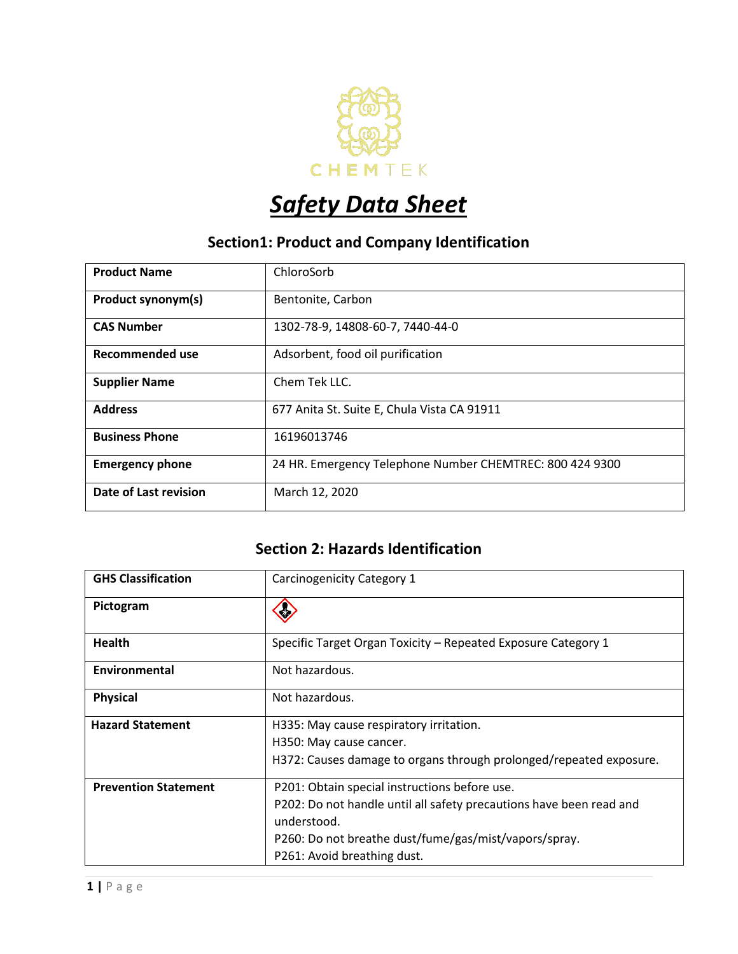

# *Safety Data Sheet*

## **Section1: Product and Company Identification**

| <b>Product Name</b>    | ChloroSorb                                               |
|------------------------|----------------------------------------------------------|
| Product synonym(s)     | Bentonite, Carbon                                        |
| <b>CAS Number</b>      | 1302-78-9, 14808-60-7, 7440-44-0                         |
| <b>Recommended use</b> | Adsorbent, food oil purification                         |
| <b>Supplier Name</b>   | Chem Tek LLC.                                            |
| <b>Address</b>         | 677 Anita St. Suite E, Chula Vista CA 91911              |
| <b>Business Phone</b>  | 16196013746                                              |
| <b>Emergency phone</b> | 24 HR. Emergency Telephone Number CHEMTREC: 800 424 9300 |
| Date of Last revision  | March 12, 2020                                           |

#### **Section 2: Hazards Identification**

| <b>GHS Classification</b>   | Carcinogenicity Category 1                                          |
|-----------------------------|---------------------------------------------------------------------|
| Pictogram                   |                                                                     |
| <b>Health</b>               | Specific Target Organ Toxicity – Repeated Exposure Category 1       |
| Environmental               | Not hazardous.                                                      |
| <b>Physical</b>             | Not hazardous.                                                      |
| <b>Hazard Statement</b>     | H335: May cause respiratory irritation.                             |
|                             | H350: May cause cancer.                                             |
|                             | H372: Causes damage to organs through prolonged/repeated exposure.  |
| <b>Prevention Statement</b> | P201: Obtain special instructions before use.                       |
|                             | P202: Do not handle until all safety precautions have been read and |
|                             | understood.                                                         |
|                             | P260: Do not breathe dust/fume/gas/mist/vapors/spray.               |
|                             | P261: Avoid breathing dust.                                         |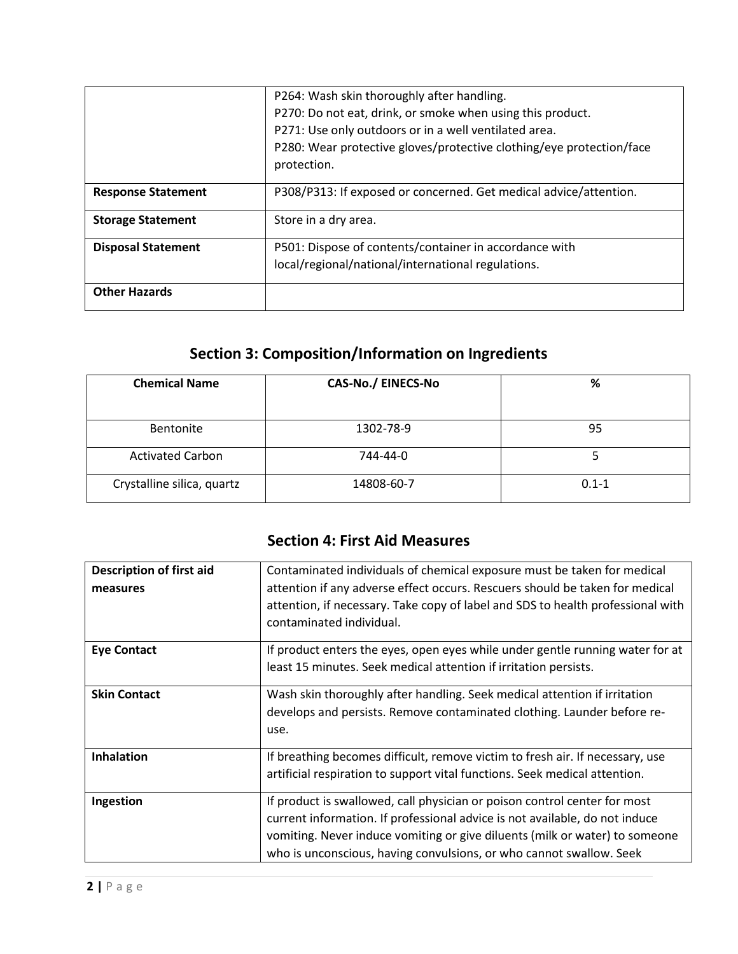|                           | P264: Wash skin thoroughly after handling.                                          |
|---------------------------|-------------------------------------------------------------------------------------|
|                           | P270: Do not eat, drink, or smoke when using this product.                          |
|                           | P271: Use only outdoors or in a well ventilated area.                               |
|                           | P280: Wear protective gloves/protective clothing/eye protection/face<br>protection. |
| <b>Response Statement</b> | P308/P313: If exposed or concerned. Get medical advice/attention.                   |
| <b>Storage Statement</b>  | Store in a dry area.                                                                |
| <b>Disposal Statement</b> | P501: Dispose of contents/container in accordance with                              |
|                           | local/regional/national/international regulations.                                  |
| <b>Other Hazards</b>      |                                                                                     |

# **Section 3: Composition/Information on Ingredients**

| <b>Chemical Name</b>       | <b>CAS-No./ EINECS-No</b> | %         |
|----------------------------|---------------------------|-----------|
|                            |                           |           |
| Bentonite                  | 1302-78-9                 | 95        |
| <b>Activated Carbon</b>    | 744-44-0                  |           |
| Crystalline silica, quartz | 14808-60-7                | $0.1 - 1$ |

#### **Section 4: First Aid Measures**

| <b>Description of first aid</b><br>measures | Contaminated individuals of chemical exposure must be taken for medical<br>attention if any adverse effect occurs. Rescuers should be taken for medical<br>attention, if necessary. Take copy of label and SDS to health professional with<br>contaminated individual.                                         |
|---------------------------------------------|----------------------------------------------------------------------------------------------------------------------------------------------------------------------------------------------------------------------------------------------------------------------------------------------------------------|
| <b>Eye Contact</b>                          | If product enters the eyes, open eyes while under gentle running water for at<br>least 15 minutes. Seek medical attention if irritation persists.                                                                                                                                                              |
| <b>Skin Contact</b>                         | Wash skin thoroughly after handling. Seek medical attention if irritation<br>develops and persists. Remove contaminated clothing. Launder before re-<br>use.                                                                                                                                                   |
| <b>Inhalation</b>                           | If breathing becomes difficult, remove victim to fresh air. If necessary, use<br>artificial respiration to support vital functions. Seek medical attention.                                                                                                                                                    |
| Ingestion                                   | If product is swallowed, call physician or poison control center for most<br>current information. If professional advice is not available, do not induce<br>vomiting. Never induce vomiting or give diluents (milk or water) to someone<br>who is unconscious, having convulsions, or who cannot swallow. Seek |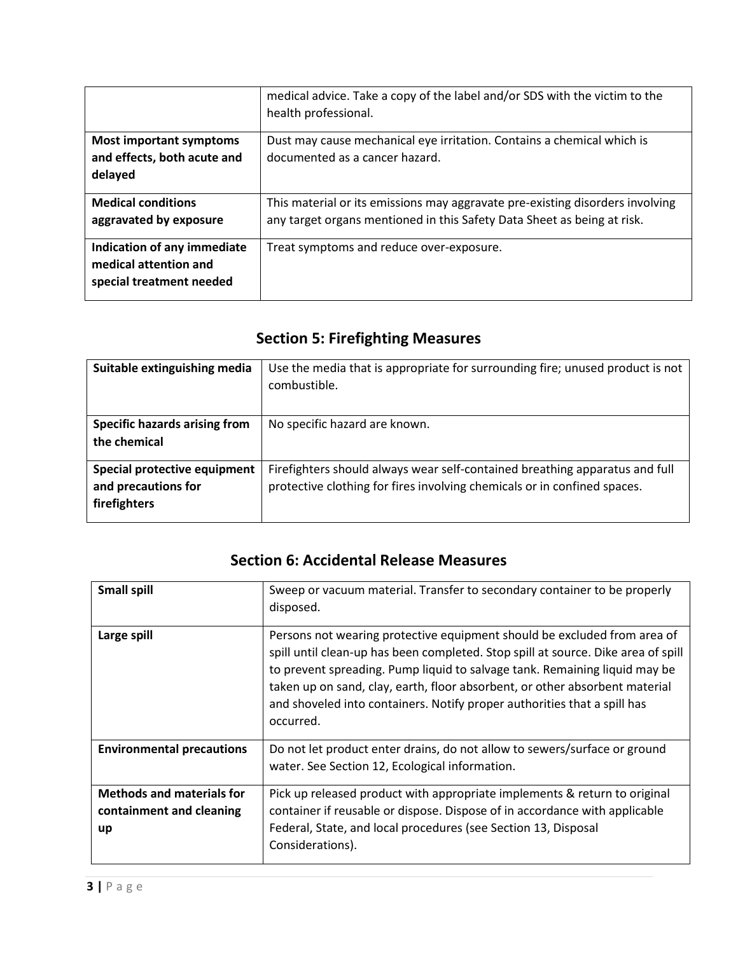|                                                                                  | medical advice. Take a copy of the label and/or SDS with the victim to the<br>health professional.                                                       |
|----------------------------------------------------------------------------------|----------------------------------------------------------------------------------------------------------------------------------------------------------|
| <b>Most important symptoms</b><br>and effects, both acute and<br>delayed         | Dust may cause mechanical eye irritation. Contains a chemical which is<br>documented as a cancer hazard.                                                 |
| <b>Medical conditions</b><br>aggravated by exposure                              | This material or its emissions may aggravate pre-existing disorders involving<br>any target organs mentioned in this Safety Data Sheet as being at risk. |
| Indication of any immediate<br>medical attention and<br>special treatment needed | Treat symptoms and reduce over-exposure.                                                                                                                 |

# **Section 5: Firefighting Measures**

| Suitable extinguishing media         | Use the media that is appropriate for surrounding fire; unused product is not<br>combustible. |
|--------------------------------------|-----------------------------------------------------------------------------------------------|
| <b>Specific hazards arising from</b> | No specific hazard are known.                                                                 |
| the chemical                         |                                                                                               |
| Special protective equipment         | Firefighters should always wear self-contained breathing apparatus and full                   |
| and precautions for                  | protective clothing for fires involving chemicals or in confined spaces.                      |
| firefighters                         |                                                                                               |
|                                      |                                                                                               |

#### **Section 6: Accidental Release Measures**

| <b>Small spill</b>                                                 | Sweep or vacuum material. Transfer to secondary container to be properly<br>disposed.                                                                                                                                                                                                                                                                                                                               |
|--------------------------------------------------------------------|---------------------------------------------------------------------------------------------------------------------------------------------------------------------------------------------------------------------------------------------------------------------------------------------------------------------------------------------------------------------------------------------------------------------|
| Large spill                                                        | Persons not wearing protective equipment should be excluded from area of<br>spill until clean-up has been completed. Stop spill at source. Dike area of spill<br>to prevent spreading. Pump liquid to salvage tank. Remaining liquid may be<br>taken up on sand, clay, earth, floor absorbent, or other absorbent material<br>and shoveled into containers. Notify proper authorities that a spill has<br>occurred. |
| <b>Environmental precautions</b>                                   | Do not let product enter drains, do not allow to sewers/surface or ground<br>water. See Section 12, Ecological information.                                                                                                                                                                                                                                                                                         |
| <b>Methods and materials for</b><br>containment and cleaning<br>up | Pick up released product with appropriate implements & return to original<br>container if reusable or dispose. Dispose of in accordance with applicable<br>Federal, State, and local procedures (see Section 13, Disposal<br>Considerations).                                                                                                                                                                       |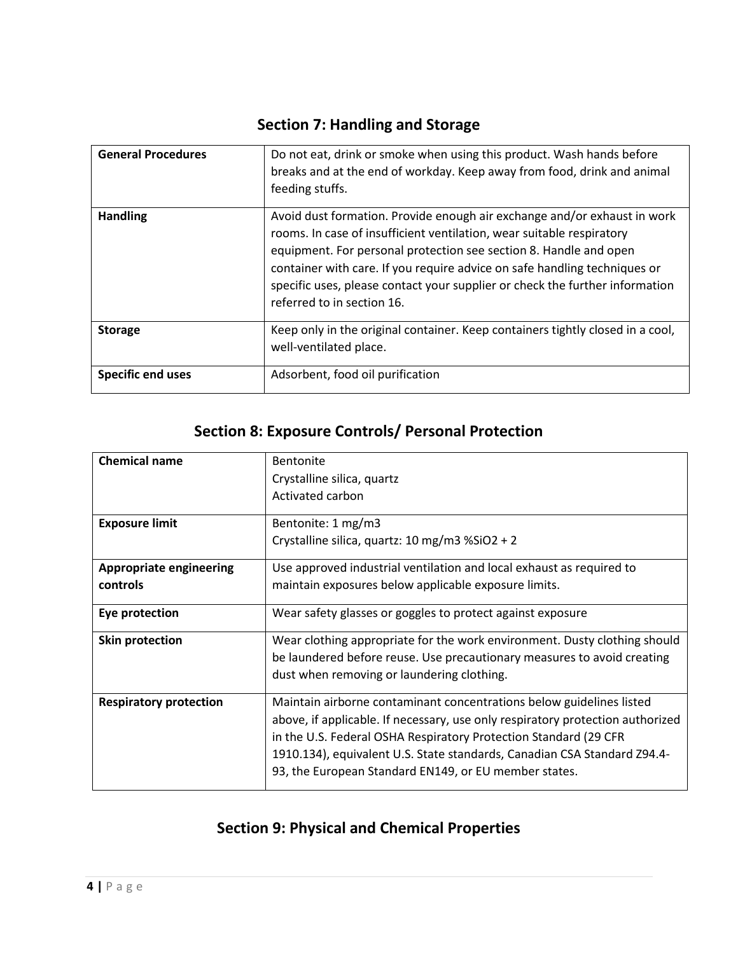| <b>General Procedures</b> | Do not eat, drink or smoke when using this product. Wash hands before<br>breaks and at the end of workday. Keep away from food, drink and animal<br>feeding stuffs.                                                                                                                                                                                                                                               |
|---------------------------|-------------------------------------------------------------------------------------------------------------------------------------------------------------------------------------------------------------------------------------------------------------------------------------------------------------------------------------------------------------------------------------------------------------------|
| <b>Handling</b>           | Avoid dust formation. Provide enough air exchange and/or exhaust in work<br>rooms. In case of insufficient ventilation, wear suitable respiratory<br>equipment. For personal protection see section 8. Handle and open<br>container with care. If you require advice on safe handling techniques or<br>specific uses, please contact your supplier or check the further information<br>referred to in section 16. |
| <b>Storage</b>            | Keep only in the original container. Keep containers tightly closed in a cool,<br>well-ventilated place.                                                                                                                                                                                                                                                                                                          |
| <b>Specific end uses</b>  | Adsorbent, food oil purification                                                                                                                                                                                                                                                                                                                                                                                  |

## **Section 7: Handling and Storage**

#### **Section 8: Exposure Controls/ Personal Protection**

| <b>Chemical name</b>           | <b>Bentonite</b><br>Crystalline silica, quartz<br>Activated carbon             |
|--------------------------------|--------------------------------------------------------------------------------|
| <b>Exposure limit</b>          | Bentonite: 1 mg/m3                                                             |
|                                | Crystalline silica, quartz: 10 mg/m3 %SiO2 + 2                                 |
| <b>Appropriate engineering</b> | Use approved industrial ventilation and local exhaust as required to           |
| controls                       | maintain exposures below applicable exposure limits.                           |
| Eye protection                 | Wear safety glasses or goggles to protect against exposure                     |
| <b>Skin protection</b>         | Wear clothing appropriate for the work environment. Dusty clothing should      |
|                                | be laundered before reuse. Use precautionary measures to avoid creating        |
|                                | dust when removing or laundering clothing.                                     |
| <b>Respiratory protection</b>  | Maintain airborne contaminant concentrations below guidelines listed           |
|                                | above, if applicable. If necessary, use only respiratory protection authorized |
|                                | in the U.S. Federal OSHA Respiratory Protection Standard (29 CFR               |
|                                | 1910.134), equivalent U.S. State standards, Canadian CSA Standard Z94.4-       |
|                                | 93, the European Standard EN149, or EU member states.                          |

## **Section 9: Physical and Chemical Properties**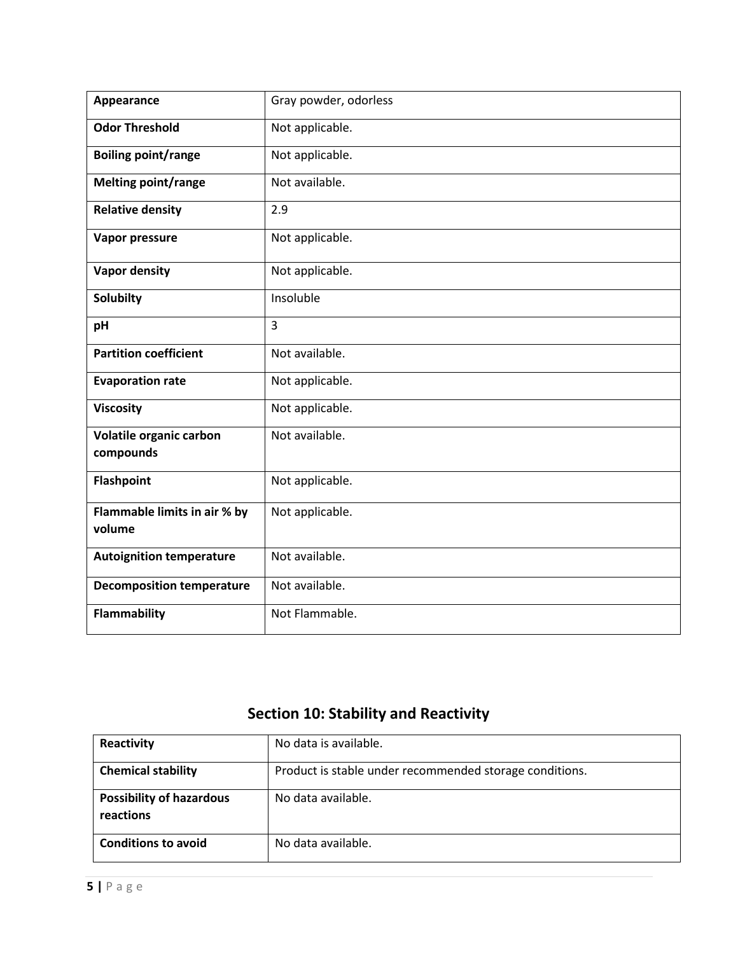| Appearance                             | Gray powder, odorless |
|----------------------------------------|-----------------------|
| <b>Odor Threshold</b>                  | Not applicable.       |
| <b>Boiling point/range</b>             | Not applicable.       |
| <b>Melting point/range</b>             | Not available.        |
| <b>Relative density</b>                | 2.9                   |
| Vapor pressure                         | Not applicable.       |
| <b>Vapor density</b>                   | Not applicable.       |
| <b>Solubilty</b>                       | Insoluble             |
| pH                                     | 3                     |
| <b>Partition coefficient</b>           | Not available.        |
| <b>Evaporation rate</b>                | Not applicable.       |
| <b>Viscosity</b>                       | Not applicable.       |
| Volatile organic carbon<br>compounds   | Not available.        |
| <b>Flashpoint</b>                      | Not applicable.       |
| Flammable limits in air % by<br>volume | Not applicable.       |
| <b>Autoignition temperature</b>        | Not available.        |
| <b>Decomposition temperature</b>       | Not available.        |
| <b>Flammability</b>                    | Not Flammable.        |

## **Section 10: Stability and Reactivity**

| Reactivity                                   | No data is available.                                   |
|----------------------------------------------|---------------------------------------------------------|
| <b>Chemical stability</b>                    | Product is stable under recommended storage conditions. |
| <b>Possibility of hazardous</b><br>reactions | No data available.                                      |
| <b>Conditions to avoid</b>                   | No data available.                                      |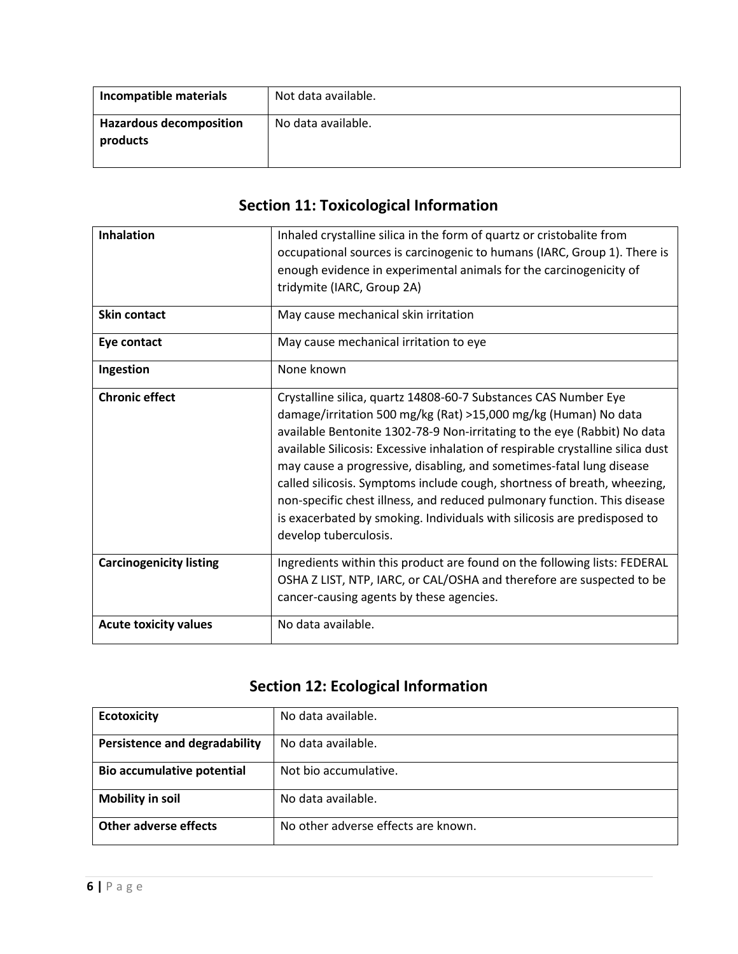| Incompatible materials                     | Not data available. |
|--------------------------------------------|---------------------|
| <b>Hazardous decomposition</b><br>products | No data available.  |

# **Section 11: Toxicological Information**

| <b>Inhalation</b>              | Inhaled crystalline silica in the form of quartz or cristobalite from<br>occupational sources is carcinogenic to humans (IARC, Group 1). There is<br>enough evidence in experimental animals for the carcinogenicity of<br>tridymite (IARC, Group 2A)                                                                                                                                                                                                                                                                                                                                                                                  |
|--------------------------------|----------------------------------------------------------------------------------------------------------------------------------------------------------------------------------------------------------------------------------------------------------------------------------------------------------------------------------------------------------------------------------------------------------------------------------------------------------------------------------------------------------------------------------------------------------------------------------------------------------------------------------------|
| <b>Skin contact</b>            | May cause mechanical skin irritation                                                                                                                                                                                                                                                                                                                                                                                                                                                                                                                                                                                                   |
| Eye contact                    | May cause mechanical irritation to eye                                                                                                                                                                                                                                                                                                                                                                                                                                                                                                                                                                                                 |
| Ingestion                      | None known                                                                                                                                                                                                                                                                                                                                                                                                                                                                                                                                                                                                                             |
| <b>Chronic effect</b>          | Crystalline silica, quartz 14808-60-7 Substances CAS Number Eye<br>damage/irritation 500 mg/kg (Rat) >15,000 mg/kg (Human) No data<br>available Bentonite 1302-78-9 Non-irritating to the eye (Rabbit) No data<br>available Silicosis: Excessive inhalation of respirable crystalline silica dust<br>may cause a progressive, disabling, and sometimes-fatal lung disease<br>called silicosis. Symptoms include cough, shortness of breath, wheezing,<br>non-specific chest illness, and reduced pulmonary function. This disease<br>is exacerbated by smoking. Individuals with silicosis are predisposed to<br>develop tuberculosis. |
| <b>Carcinogenicity listing</b> | Ingredients within this product are found on the following lists: FEDERAL<br>OSHA Z LIST, NTP, IARC, or CAL/OSHA and therefore are suspected to be<br>cancer-causing agents by these agencies.                                                                                                                                                                                                                                                                                                                                                                                                                                         |
| <b>Acute toxicity values</b>   | No data available.                                                                                                                                                                                                                                                                                                                                                                                                                                                                                                                                                                                                                     |

# **Section 12: Ecological Information**

| <b>Ecotoxicity</b>                   | No data available.                  |
|--------------------------------------|-------------------------------------|
| <b>Persistence and degradability</b> | No data available.                  |
| <b>Bio accumulative potential</b>    | Not bio accumulative.               |
| <b>Mobility in soil</b>              | No data available.                  |
| Other adverse effects                | No other adverse effects are known. |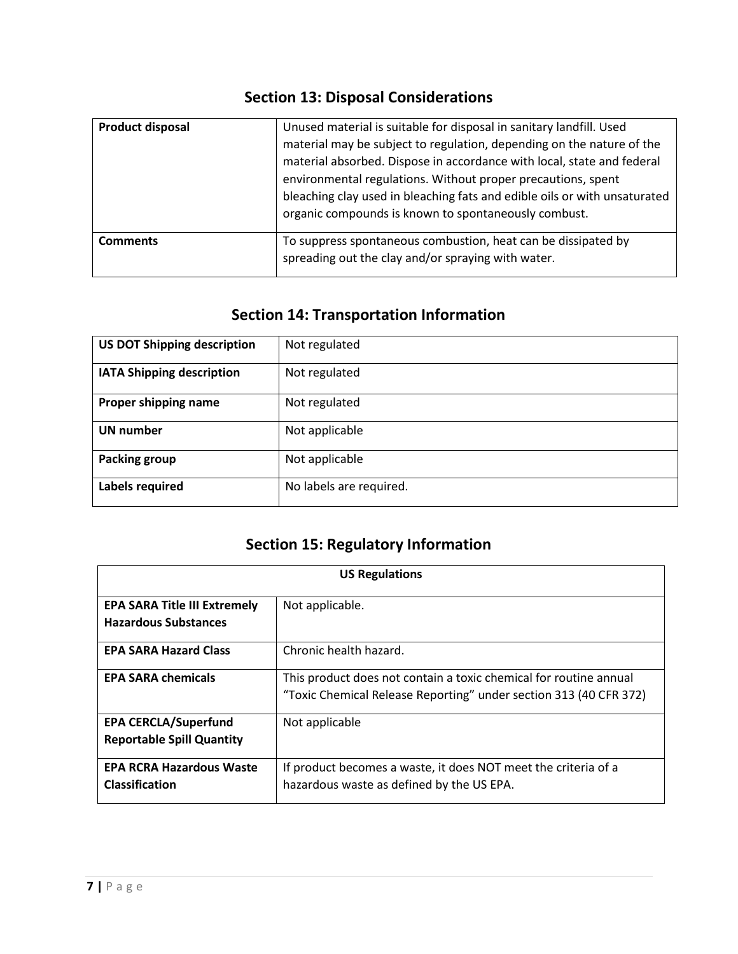#### **Section 13: Disposal Considerations**

| <b>Product disposal</b> | Unused material is suitable for disposal in sanitary landfill. Used<br>material may be subject to regulation, depending on the nature of the<br>material absorbed. Dispose in accordance with local, state and federal<br>environmental regulations. Without proper precautions, spent<br>bleaching clay used in bleaching fats and edible oils or with unsaturated<br>organic compounds is known to spontaneously combust. |
|-------------------------|-----------------------------------------------------------------------------------------------------------------------------------------------------------------------------------------------------------------------------------------------------------------------------------------------------------------------------------------------------------------------------------------------------------------------------|
| <b>Comments</b>         | To suppress spontaneous combustion, heat can be dissipated by<br>spreading out the clay and/or spraying with water.                                                                                                                                                                                                                                                                                                         |

## **Section 14: Transportation Information**

| <b>US DOT Shipping description</b> | Not regulated           |
|------------------------------------|-------------------------|
| <b>IATA Shipping description</b>   | Not regulated           |
| Proper shipping name               | Not regulated           |
| UN number                          | Not applicable          |
| <b>Packing group</b>               | Not applicable          |
| Labels required                    | No labels are required. |

## **Section 15: Regulatory Information**

| <b>US Regulations</b>               |                                                                   |
|-------------------------------------|-------------------------------------------------------------------|
| <b>EPA SARA Title III Extremely</b> | Not applicable.                                                   |
| <b>Hazardous Substances</b>         |                                                                   |
| <b>EPA SARA Hazard Class</b>        | Chronic health hazard.                                            |
| <b>EPA SARA chemicals</b>           | This product does not contain a toxic chemical for routine annual |
|                                     | "Toxic Chemical Release Reporting" under section 313 (40 CFR 372) |
| <b>EPA CERCLA/Superfund</b>         | Not applicable                                                    |
| <b>Reportable Spill Quantity</b>    |                                                                   |
| <b>EPA RCRA Hazardous Waste</b>     | If product becomes a waste, it does NOT meet the criteria of a    |
| <b>Classification</b>               | hazardous waste as defined by the US EPA.                         |